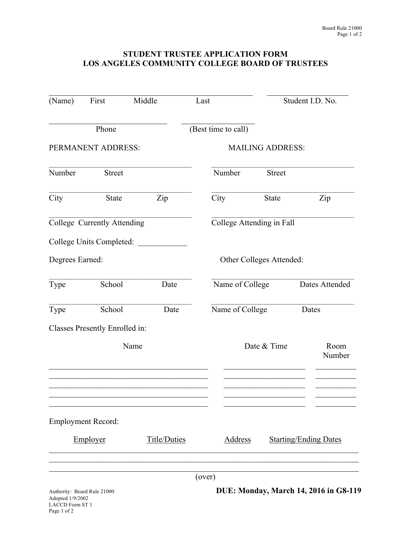## **STUDENT TRUSTEE APPLICATION FORM LOS ANGELES COMMUNITY COLLEGE BOARD OF TRUSTEES**

| (Name)                                                                    | First<br>Middle                |      | Last                    |                               | Student I.D. No.                             |  |
|---------------------------------------------------------------------------|--------------------------------|------|-------------------------|-------------------------------|----------------------------------------------|--|
|                                                                           | Phone                          |      | (Best time to call)     |                               |                                              |  |
|                                                                           | PERMANENT ADDRESS:             |      | <b>MAILING ADDRESS:</b> |                               |                                              |  |
| Number                                                                    | <b>Street</b>                  |      | Number                  | <b>Street</b>                 |                                              |  |
| City                                                                      | State                          | Zip  | City                    | <b>State</b>                  | Zip                                          |  |
|                                                                           | College Currently Attending    |      |                         | College Attending in Fall     |                                              |  |
|                                                                           | College Units Completed:       |      |                         |                               |                                              |  |
| Degrees Earned:                                                           |                                |      |                         | Other Colleges Attended:      |                                              |  |
| Type                                                                      | School                         | Date | Name of College         |                               | Dates Attended                               |  |
| Type                                                                      | School                         | Date |                         | Name of College<br>Dates      |                                              |  |
|                                                                           | Classes Presently Enrolled in: |      |                         |                               |                                              |  |
| Name                                                                      |                                |      |                         | Date & Time<br>Room<br>Number |                                              |  |
|                                                                           |                                |      |                         |                               |                                              |  |
|                                                                           | <b>Employment Record:</b>      |      |                         |                               |                                              |  |
|                                                                           | Employer<br>Title/Duties       |      | <b>Address</b>          | <b>Starting/Ending Dates</b>  |                                              |  |
|                                                                           |                                |      | (over)                  |                               |                                              |  |
| Authority: Board Rule 21000<br>Adopted 1/9/2002<br><b>LACCD Form ST 1</b> |                                |      |                         |                               | <b>DUE: Monday, March 14, 2016 in G8-119</b> |  |

Page 1 of 2